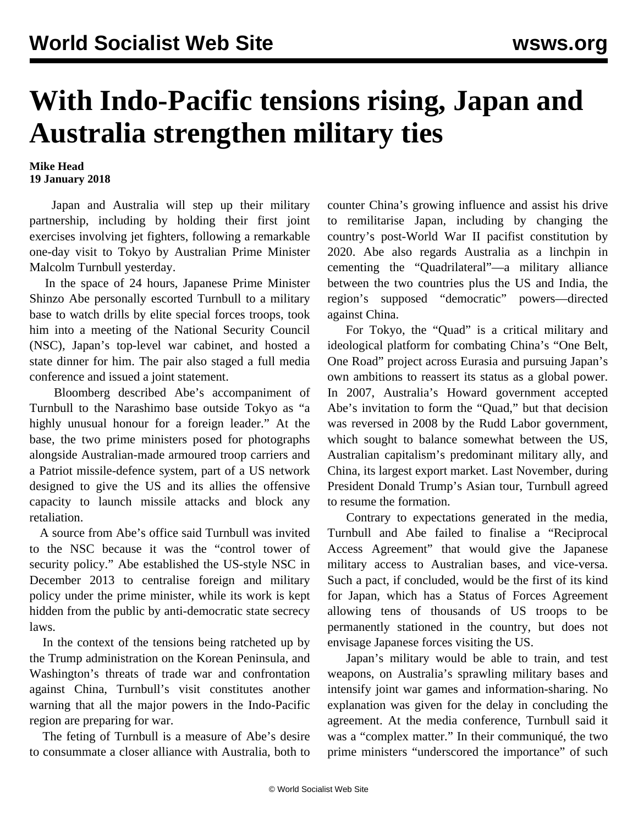## **With Indo-Pacific tensions rising, Japan and Australia strengthen military ties**

**Mike Head 19 January 2018**

 Japan and Australia will step up their military partnership, including by holding their first joint exercises involving jet fighters, following a remarkable one-day visit to Tokyo by Australian Prime Minister Malcolm Turnbull yesterday.

 In the space of 24 hours, Japanese Prime Minister Shinzo Abe personally escorted Turnbull to a military base to watch drills by elite special forces troops, took him into a meeting of the National Security Council (NSC), Japan's top-level war cabinet, and hosted a state dinner for him. The pair also staged a full media conference and issued a joint statement.

 Bloomberg described Abe's accompaniment of Turnbull to the Narashimo base outside Tokyo as "a highly unusual honour for a foreign leader." At the base, the two prime ministers posed for photographs alongside Australian-made armoured troop carriers and a Patriot missile-defence system, part of a US network designed to give the US and its allies the offensive capacity to launch missile attacks and block any retaliation.

 A source from Abe's office said Turnbull was invited to the NSC because it was the "control tower of security policy." Abe established the US-style NSC in December 2013 to centralise foreign and military policy under the prime minister, while its work is kept hidden from the public by anti-democratic state secrecy laws.

 In the context of the tensions being ratcheted up by the Trump administration on the Korean Peninsula, and Washington's threats of trade war and confrontation against China, Turnbull's visit constitutes another warning that all the major powers in the Indo-Pacific region are preparing for war.

 The feting of Turnbull is a measure of Abe's desire to consummate a closer alliance with Australia, both to counter China's growing influence and assist his drive to remilitarise Japan, including by changing the country's post-World War II pacifist constitution by 2020. Abe also regards Australia as a linchpin in cementing the "Quadrilateral"—a military alliance between the two countries plus the US and India, the region's supposed "democratic" powers—directed against China.

 For Tokyo, the "Quad" is a critical military and ideological platform for combating China's "One Belt, One Road" project across Eurasia and pursuing Japan's own ambitions to reassert its status as a global power. In 2007, Australia's Howard government accepted Abe's invitation to form the "Quad," but that decision was reversed in 2008 by the Rudd Labor government, which sought to balance somewhat between the US, Australian capitalism's predominant military ally, and China, its largest export market. Last November, during President Donald Trump's Asian tour, Turnbull agreed to resume the formation.

 Contrary to expectations generated in the media, Turnbull and Abe failed to finalise a "Reciprocal Access Agreement" that would give the Japanese military access to Australian bases, and vice-versa. Such a pact, if concluded, would be the first of its kind for Japan, which has a Status of Forces Agreement allowing tens of thousands of US troops to be permanently stationed in the country, but does not envisage Japanese forces visiting the US.

 Japan's military would be able to train, and test weapons, on Australia's sprawling military bases and intensify joint war games and information-sharing. No explanation was given for the delay in concluding the agreement. At the media conference, Turnbull said it was a "complex matter." In their communiqué, the two prime ministers "underscored the importance" of such